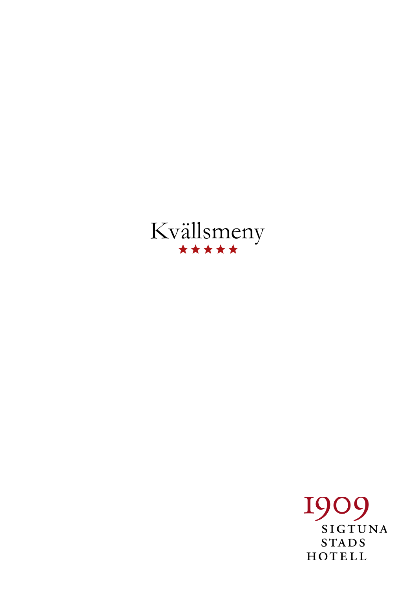

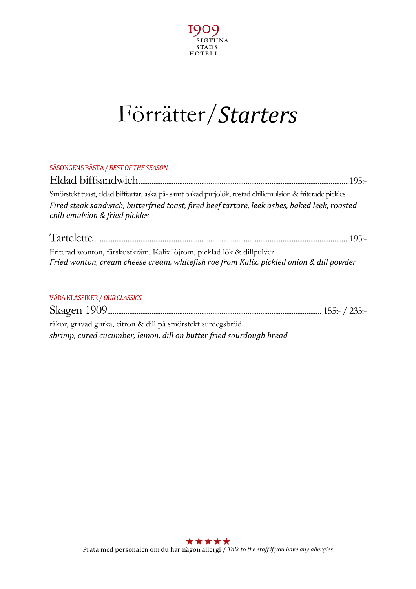

## Förrätter/*Starters*

| SÄSONGENS BÄSTA / BEST OF THE SEASON                                                                                                                             |  |
|------------------------------------------------------------------------------------------------------------------------------------------------------------------|--|
|                                                                                                                                                                  |  |
| Smörstekt toast, eldad bifftartar, aska på- samt bakad purjolök, rostad chiliemulsion & friterade pickles                                                        |  |
| Fired steak sandwich, butterfried toast, fired beef tartare, leek ashes, baked leek, roasted<br>chili emulsion & fried pickles                                   |  |
|                                                                                                                                                                  |  |
| Friterad wonton, färskostkräm, Kalix löjrom, picklad lök & dillpulver<br>Fried wonton, cream cheese cream, whitefish roe from Kalix, pickled onion & dill powder |  |
| VÅRA KLASSIKER / OUR CLASSICS                                                                                                                                    |  |
|                                                                                                                                                                  |  |
| räkor, gravad gurka, citron & dill på smörstekt surdegsbröd                                                                                                      |  |

*shrimp, cured cucumber, lemon, dill on butter fried sourdough bread*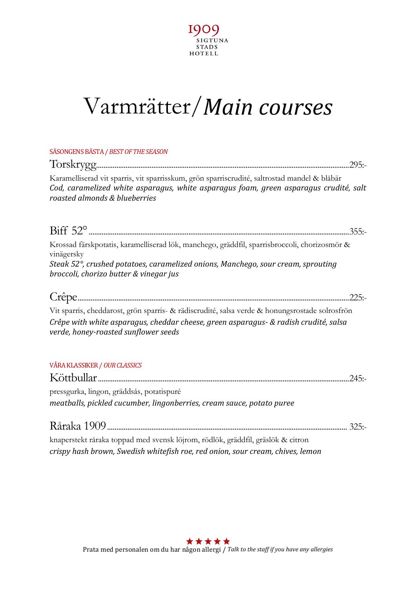

## Varmrätter/*Main courses*

| SÄSONGENS BÄSTA / BEST OF THE SEASON                                                                                                                                                                                   |
|------------------------------------------------------------------------------------------------------------------------------------------------------------------------------------------------------------------------|
|                                                                                                                                                                                                                        |
| Karamelliserad vit sparris, vit sparrisskum, grön sparriscrudité, saltrostad mandel & blåbär<br>Cod, caramelized white asparagus, white asparagus foam, green asparagus crudité, salt<br>roasted almonds & blueberries |
|                                                                                                                                                                                                                        |
| Krossad färskpotatis, karamelliserad lök, manchego, gräddfil, sparrisbroccoli, chorizosmör &<br>vinägersky                                                                                                             |
| Steak 52°, crushed potatoes, caramelized onions, Manchego, sour cream, sprouting<br>broccoli, chorizo butter & vinegar jus                                                                                             |
| .225:                                                                                                                                                                                                                  |
| Vit sparris, cheddarost, grön sparris- & rädiscrudité, salsa verde & honungsrostade solrosfrön                                                                                                                         |
| Crêpe with white asparagus, cheddar cheese, green asparagus- & radish crudité, salsa<br>verde, honey-roasted sunflower seeds                                                                                           |
| VÅRA KLASSIKER / OUR CLASSICS                                                                                                                                                                                          |
|                                                                                                                                                                                                                        |
| pressgurka, lingon, gräddsås, potatispuré                                                                                                                                                                              |
| meatballs, pickled cucumber, lingonberries, cream sauce, potato puree                                                                                                                                                  |
|                                                                                                                                                                                                                        |
| knaperstekt råraka toppad med svensk löjrom, rödlök, gräddfil, gräslök & citron                                                                                                                                        |
| crispy hash brown, Swedish whitefish roe, red onion, sour cream, chives, lemon                                                                                                                                         |